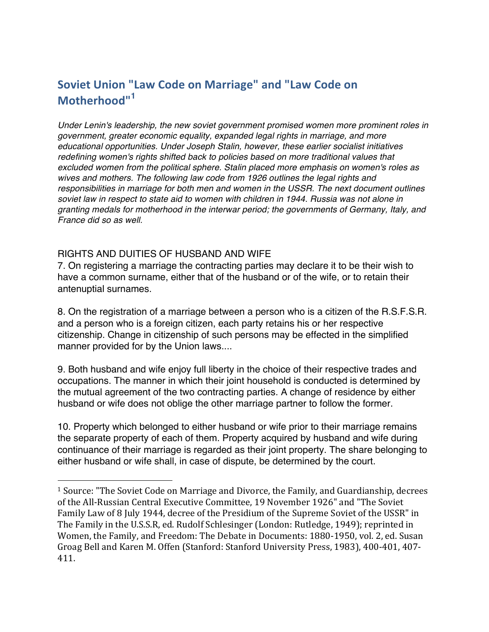# **Soviet Union "Law Code on Marriage" and "Law Code on Motherhood"<sup>1</sup>**

*Under Lenin's leadership, the new soviet government promised women more prominent roles in government, greater economic equality, expanded legal rights in marriage, and more educational opportunities. Under Joseph Stalin, however, these earlier socialist initiatives redefining women's rights shifted back to policies based on more traditional values that excluded women from the political sphere. Stalin placed more emphasis on women's roles as wives and mothers. The following law code from 1926 outlines the legal rights and responsibilities in marriage for both men and women in the USSR. The next document outlines soviet law in respect to state aid to women with children in 1944. Russia was not alone in granting medals for motherhood in the interwar period; the governments of Germany, Italy, and France did so as well.*

# RIGHTS AND DUITIES OF HUSBAND AND WIFE

 

7. On registering a marriage the contracting parties may declare it to be their wish to have a common surname, either that of the husband or of the wife, or to retain their antenuptial surnames.

8. On the registration of a marriage between a person who is a citizen of the R.S.F.S.R. and a person who is a foreign citizen, each party retains his or her respective citizenship. Change in citizenship of such persons may be effected in the simplified manner provided for by the Union laws....

9. Both husband and wife enjoy full liberty in the choice of their respective trades and occupations. The manner in which their joint household is conducted is determined by the mutual agreement of the two contracting parties. A change of residence by either husband or wife does not oblige the other marriage partner to follow the former.

10. Property which belonged to either husband or wife prior to their marriage remains the separate property of each of them. Property acquired by husband and wife during continuance of their marriage is regarded as their joint property. The share belonging to either husband or wife shall, in case of dispute, be determined by the court.

 $1$  Source: "The Soviet Code on Marriage and Divorce, the Family, and Guardianship, decrees of the All-Russian Central Executive Committee, 19 November 1926" and "The Soviet Family Law of 8 July 1944, decree of the Presidium of the Supreme Soviet of the USSR" in The Family in the U.S.S.R, ed. Rudolf Schlesinger (London: Rutledge, 1949); reprinted in Women, the Family, and Freedom: The Debate in Documents: 1880-1950, vol. 2, ed. Susan Groag Bell and Karen M. Offen (Stanford: Stanford University Press, 1983), 400-401, 407-411.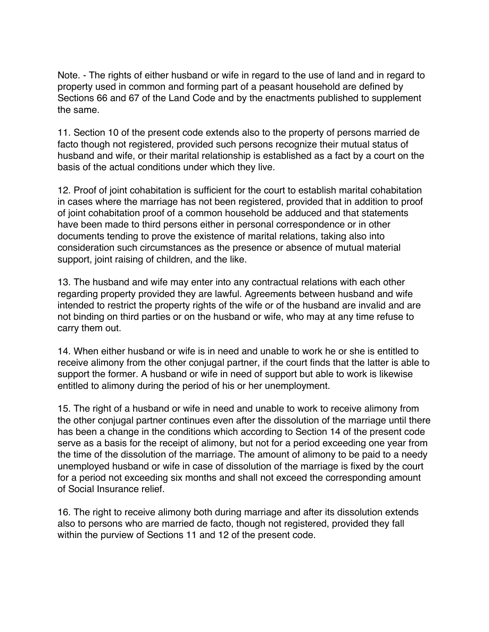Note. - The rights of either husband or wife in regard to the use of land and in regard to property used in common and forming part of a peasant household are defined by Sections 66 and 67 of the Land Code and by the enactments published to supplement the same.

11. Section 10 of the present code extends also to the property of persons married de facto though not registered, provided such persons recognize their mutual status of husband and wife, or their marital relationship is established as a fact by a court on the basis of the actual conditions under which they live.

12. Proof of joint cohabitation is sufficient for the court to establish marital cohabitation in cases where the marriage has not been registered, provided that in addition to proof of joint cohabitation proof of a common household be adduced and that statements have been made to third persons either in personal correspondence or in other documents tending to prove the existence of marital relations, taking also into consideration such circumstances as the presence or absence of mutual material support, joint raising of children, and the like.

13. The husband and wife may enter into any contractual relations with each other regarding property provided they are lawful. Agreements between husband and wife intended to restrict the property rights of the wife or of the husband are invalid and are not binding on third parties or on the husband or wife, who may at any time refuse to carry them out.

14. When either husband or wife is in need and unable to work he or she is entitled to receive alimony from the other conjugal partner, if the court finds that the latter is able to support the former. A husband or wife in need of support but able to work is likewise entitled to alimony during the period of his or her unemployment.

15. The right of a husband or wife in need and unable to work to receive alimony from the other conjugal partner continues even after the dissolution of the marriage until there has been a change in the conditions which according to Section 14 of the present code serve as a basis for the receipt of alimony, but not for a period exceeding one year from the time of the dissolution of the marriage. The amount of alimony to be paid to a needy unemployed husband or wife in case of dissolution of the marriage is fixed by the court for a period not exceeding six months and shall not exceed the corresponding amount of Social Insurance relief.

16. The right to receive alimony both during marriage and after its dissolution extends also to persons who are married de facto, though not registered, provided they fall within the purview of Sections 11 and 12 of the present code.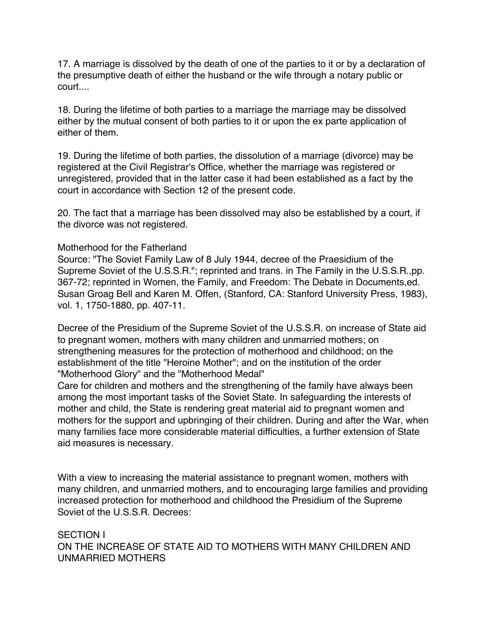17. A marriage is dissolved by the death of one of the parties to it or by a declaration of the presumptive death of either the husband or the wife through a notary public or court.

18. During the lifetime of both parties to a marriage the marriage may be dissolved either by the mutual consent of both parties to it or upon the ex parte application of either of them.

19. During the lifetime of both parties, the dissolution of a marriage (divorce) may be registered at the Civil Registrar's Office, whether the marriage was registered or unregistered, provided that in the latter case it had been established as a fact by the court in accordance with Section 12 of the present code.

20. The fact that a marriage has been dissolved may also be established by a court, if the divorce was not registered.

# Motherhood for the Fatherland

Source: "The Soviet Family Law of 8 July 1944, decree of the Praesidium of the Supreme Soviet of the U.S.S.R."; reprinted and trans. in The Family in the U.S.S.R.,pp. 367-72; reprinted in Women, the Family, and Freedom: The Debate in Documents,ed. Susan Groag Bell and Karen M. Offen, (Stanford, CA: Stanford University Press, 1983), vol. 1, 1750-1880, pp. 407-11.

Decree of the Presidium of the Supreme Soviet of the U.S.S.R. on increase of State aid to pregnant women, mothers with many children and unmarried mothers; on strengthening measures for the protection of motherhood and childhood; on the establishment of the title "Heroine Mother"; and on the institution of the order "Motherhood Glory" and the "Motherhood Medal"

Care for children and mothers and the strengthening of the family have always been among the most important tasks of the Soviet State. In safeguarding the interests of mother and child, the State is rendering great material aid to pregnant women and mothers for the support and upbringing of their children. During and after the War, when many families face more considerable material difficulties, a further extension of State aid measures is necessary.

With a view to increasing the material assistance to pregnant women, mothers with many children, and unmarried mothers, and to encouraging large families and providing increased protection for motherhood and childhood the Presidium of the Supreme Soviet of the U.S.S.R. Decrees:

SECTION I ON THE INCREASE OF STATE AID TO MOTHERS WITH MANY CHILDREN AND UNMARRIED MOTHERS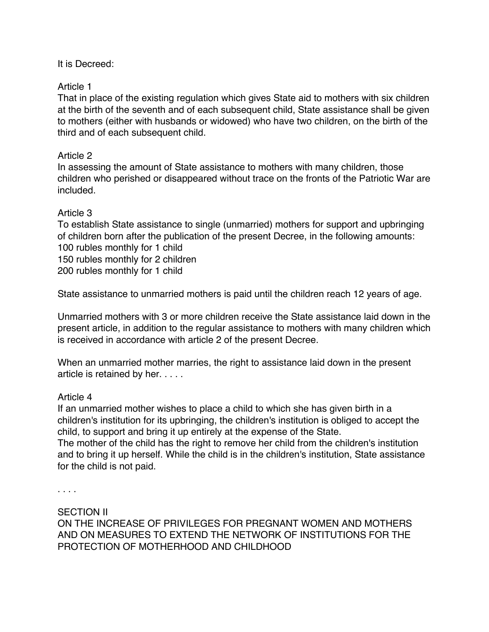It is Decreed:

# Article 1

That in place of the existing regulation which gives State aid to mothers with six children at the birth of the seventh and of each subsequent child, State assistance shall be given to mothers (either with husbands or widowed) who have two children, on the birth of the third and of each subsequent child.

# Article 2

In assessing the amount of State assistance to mothers with many children, those children who perished or disappeared without trace on the fronts of the Patriotic War are included.

# Article 3

To establish State assistance to single (unmarried) mothers for support and upbringing of children born after the publication of the present Decree, in the following amounts: 100 rubles monthly for 1 child 150 rubles monthly for 2 children 200 rubles monthly for 1 child

State assistance to unmarried mothers is paid until the children reach 12 years of age.

Unmarried mothers with 3 or more children receive the State assistance laid down in the present article, in addition to the regular assistance to mothers with many children which is received in accordance with article 2 of the present Decree.

When an unmarried mother marries, the right to assistance laid down in the present article is retained by her. . . . .

# Article 4

If an unmarried mother wishes to place a child to which she has given birth in a children's institution for its upbringing, the children's institution is obliged to accept the child, to support and bring it up entirely at the expense of the State.

The mother of the child has the right to remove her child from the children's institution and to bring it up herself. While the child is in the children's institution, State assistance for the child is not paid.

. . . .

SECTION II

ON THE INCREASE OF PRIVILEGES FOR PREGNANT WOMEN AND MOTHERS AND ON MEASURES TO EXTEND THE NETWORK OF INSTITUTIONS FOR THE PROTECTION OF MOTHERHOOD AND CHILDHOOD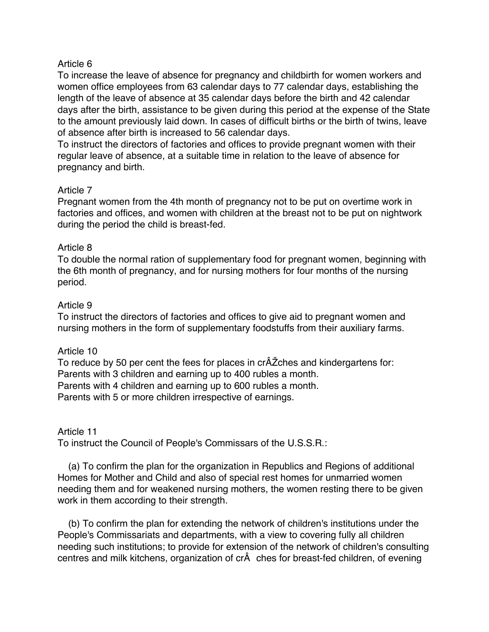# Article 6

To increase the leave of absence for pregnancy and childbirth for women workers and women office employees from 63 calendar days to 77 calendar days, establishing the length of the leave of absence at 35 calendar days before the birth and 42 calendar days after the birth, assistance to be given during this period at the expense of the State to the amount previously laid down. In cases of difficult births or the birth of twins, leave of absence after birth is increased to 56 calendar days.

To instruct the directors of factories and offices to provide pregnant women with their regular leave of absence, at a suitable time in relation to the leave of absence for pregnancy and birth.

# Article 7

Pregnant women from the 4th month of pregnancy not to be put on overtime work in factories and offices, and women with children at the breast not to be put on nightwork during the period the child is breast-fed.

#### Article 8

To double the normal ration of supplementary food for pregnant women, beginning with the 6th month of pregnancy, and for nursing mothers for four months of the nursing period.

#### Article 9

To instruct the directors of factories and offices to give aid to pregnant women and nursing mothers in the form of supplementary foodstuffs from their auxiliary farms.

# Article 10

To reduce by 50 per cent the fees for places in crÂŽches and kindergartens for: Parents with 3 children and earning up to 400 rubles a month. Parents with 4 children and earning up to 600 rubles a month. Parents with 5 or more children irrespective of earnings.

# Article 11

To instruct the Council of People's Commissars of the U.S.S.R.:

 (a) To confirm the plan for the organization in Republics and Regions of additional Homes for Mother and Child and also of special rest homes for unmarried women needing them and for weakened nursing mothers, the women resting there to be given work in them according to their strength.

 (b) To confirm the plan for extending the network of children's institutions under the People's Commissariats and departments, with a view to covering fully all children needing such institutions; to provide for extension of the network of children's consulting centres and milk kitchens, organization of crÂches for breast-fed children, of evening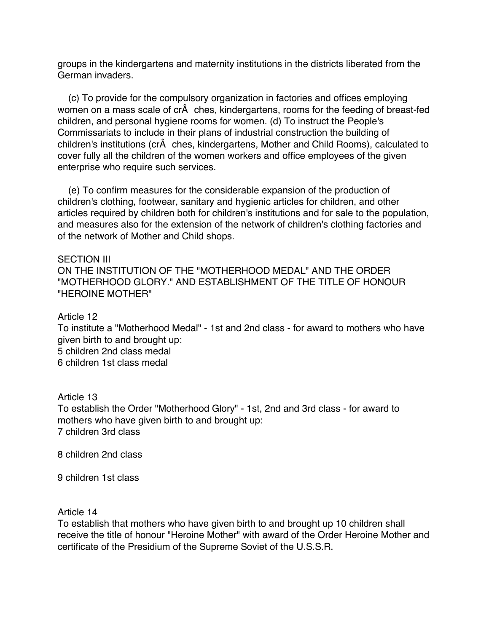groups in the kindergartens and maternity institutions in the districts liberated from the German invaders.

 (c) To provide for the compulsory organization in factories and offices employing women on a mass scale of cr ches, kindergartens, rooms for the feeding of breast-fed children, and personal hygiene rooms for women. (d) To instruct the People's Commissariats to include in their plans of industrial construction the building of children's institutions (crÂches, kindergartens, Mother and Child Rooms), calculated to cover fully all the children of the women workers and office employees of the given enterprise who require such services.

 (e) To confirm measures for the considerable expansion of the production of children's clothing, footwear, sanitary and hygienic articles for children, and other articles required by children both for children's institutions and for sale to the population, and measures also for the extension of the network of children's clothing factories and of the network of Mother and Child shops.

# SECTION III

ON THE INSTITUTION OF THE "MOTHERHOOD MEDAL" AND THE ORDER "MOTHERHOOD GLORY." AND ESTABLISHMENT OF THE TITLE OF HONOUR "HEROINE MOTHER"

# Article 12

To institute a "Motherhood Medal" - 1st and 2nd class - for award to mothers who have given birth to and brought up: 5 children 2nd class medal 6 children 1st class medal

# Article 13

To establish the Order "Motherhood Glory" - 1st, 2nd and 3rd class - for award to mothers who have given birth to and brought up: 7 children 3rd class

8 children 2nd class

9 children 1st class

Article 14

To establish that mothers who have given birth to and brought up 10 children shall receive the title of honour "Heroine Mother" with award of the Order Heroine Mother and certificate of the Presidium of the Supreme Soviet of the U.S.S.R.